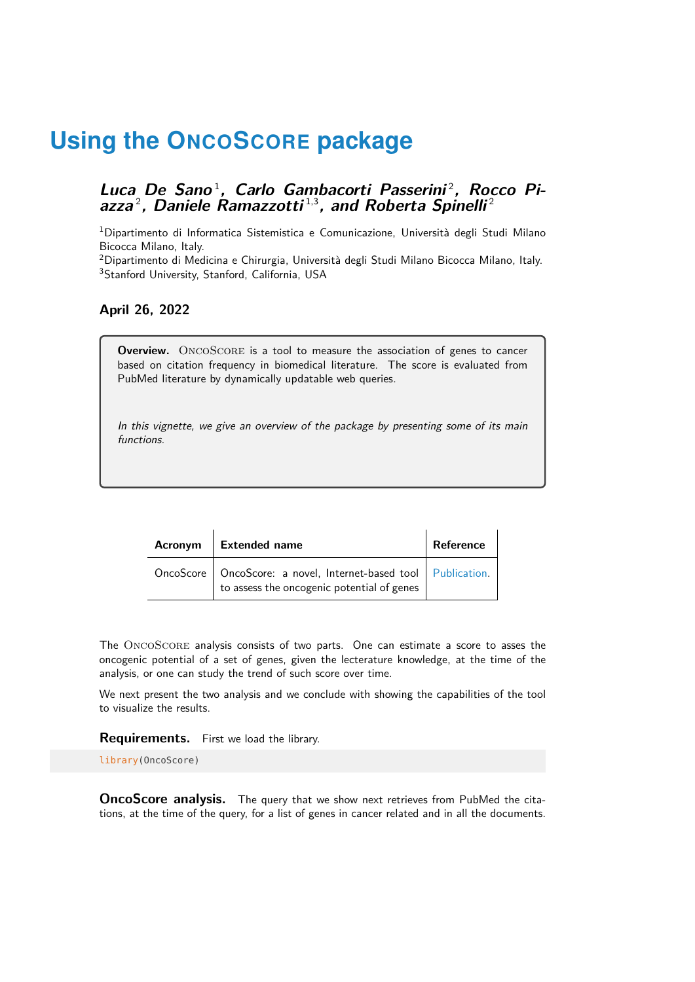# Luca De Sano<sup>1</sup>, Carlo Gambacorti Passerini<sup>2</sup>, Rocco Piazza<sup>2</sup>, Daniele Ramazzotti<sup>1,3</sup>, and Roberta Spinelli<sup>2</sup>

<sup>1</sup>Dipartimento di Informatica Sistemistica e Comunicazione, Università degli Studi Milano Bicocca Milano, Italy.

<sup>2</sup>Dipartimento di Medicina e Chirurgia, Università degli Studi Milano Bicocca Milano, Italy. <sup>3</sup>Stanford University, Stanford, California, USA

# **April 26, 2022**

**Overview.** ONCOSCORE is a tool to measure the association of genes to cancer based on citation frequency in biomedical literature. The score is evaluated from PubMed literature by dynamically updatable web queries.

In this vignette, we give an overview of the package by presenting some of its main functions.

| Acronym   Extended name                                                                                            | Reference |
|--------------------------------------------------------------------------------------------------------------------|-----------|
| OncoScore   OncoScore: a novel, Internet-based tool   Publication.  <br>to assess the oncogenic potential of genes |           |

The OncoScore analysis consists of two parts. One can estimate a score to asses the oncogenic potential of a set of genes, given the lecterature knowledge, at the time of the analysis, or one can study the trend of such score over time.

We next present the two analysis and we conclude with showing the capabilities of the tool to visualize the results.

**Requirements.** First we load the library.

library(OncoScore)

**OncoScore analysis.** The query that we show next retrieves from PubMed the citations, at the time of the query, for a list of genes in cancer related and in all the documents.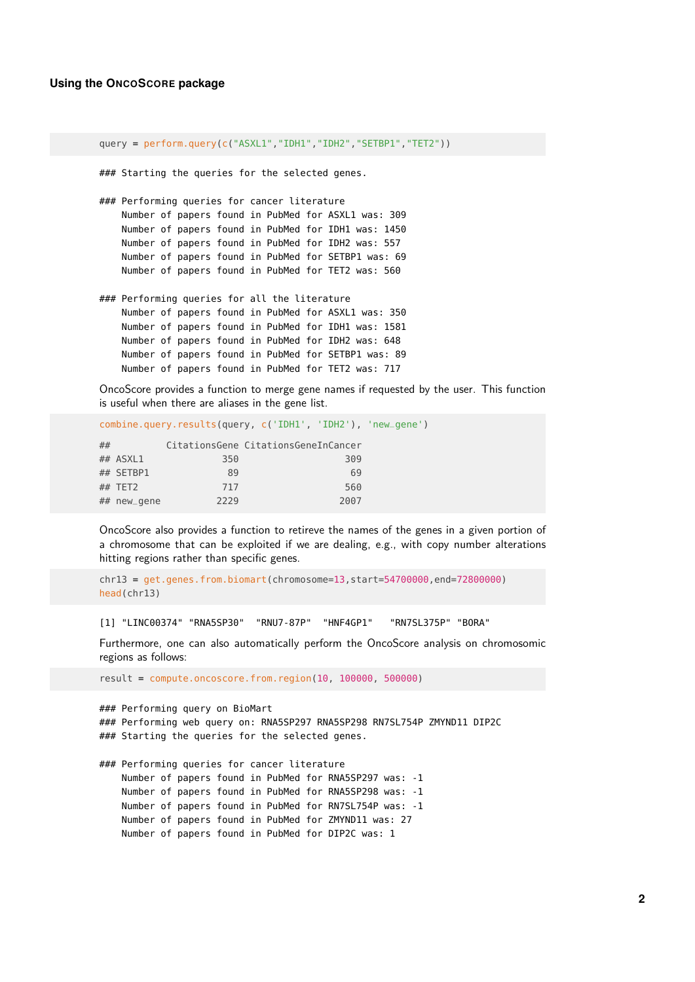```
query = perform.query(c("ASXL1","IDH1","IDH2","SETBP1","TET2"))
### Starting the queries for the selected genes.
### Performing queries for cancer literature
   Number of papers found in PubMed for ASXL1 was: 309
   Number of papers found in PubMed for IDH1 was: 1450
   Number of papers found in PubMed for IDH2 was: 557
   Number of papers found in PubMed for SETBP1 was: 69
   Number of papers found in PubMed for TET2 was: 560
### Performing queries for all the literature
   Number of papers found in PubMed for ASXL1 was: 350
   Number of papers found in PubMed for IDH1 was: 1581
   Number of papers found in PubMed for IDH2 was: 648
   Number of papers found in PubMed for SETBP1 was: 89
   Number of papers found in PubMed for TET2 was: 717
```
OncoScore provides a function to merge gene names if requested by the user. This function is useful when there are aliases in the gene list.

```
combine.query.results(query, c('IDH1', 'IDH2'), 'new_gene')
## CitationsGene CitationsGeneInCancer
## ASXL1 350 309
## SETBP1 89 69
## TET2 717 560
## new_gene 2229 2007
```
OncoScore also provides a function to retireve the names of the genes in a given portion of a chromosome that can be exploited if we are dealing, e.g., with copy number alterations hitting regions rather than specific genes.

```
chr13 = get.genes.from.biomart(chromosome=13,start=54700000,end=72800000)
head(chr13)
```
[1] "LINC00374" "RNA5SP30" "RNU7-87P" "HNF4GP1" "RN7SL375P" "BORA"

Furthermore, one can also automatically perform the OncoScore analysis on chromosomic regions as follows:

result = compute.oncoscore.from.region(10, 100000, 500000)

### Performing query on BioMart ### Performing web query on: RNA5SP297 RNA5SP298 RN7SL754P ZMYND11 DIP2C ### Starting the queries for the selected genes. ### Performing queries for cancer literature Number of papers found in PubMed for RNA5SP297 was: -1 Number of papers found in PubMed for RNA5SP298 was: -1 Number of papers found in PubMed for RN7SL754P was: -1

Number of papers found in PubMed for ZMYND11 was: 27

Number of papers found in PubMed for DIP2C was: 1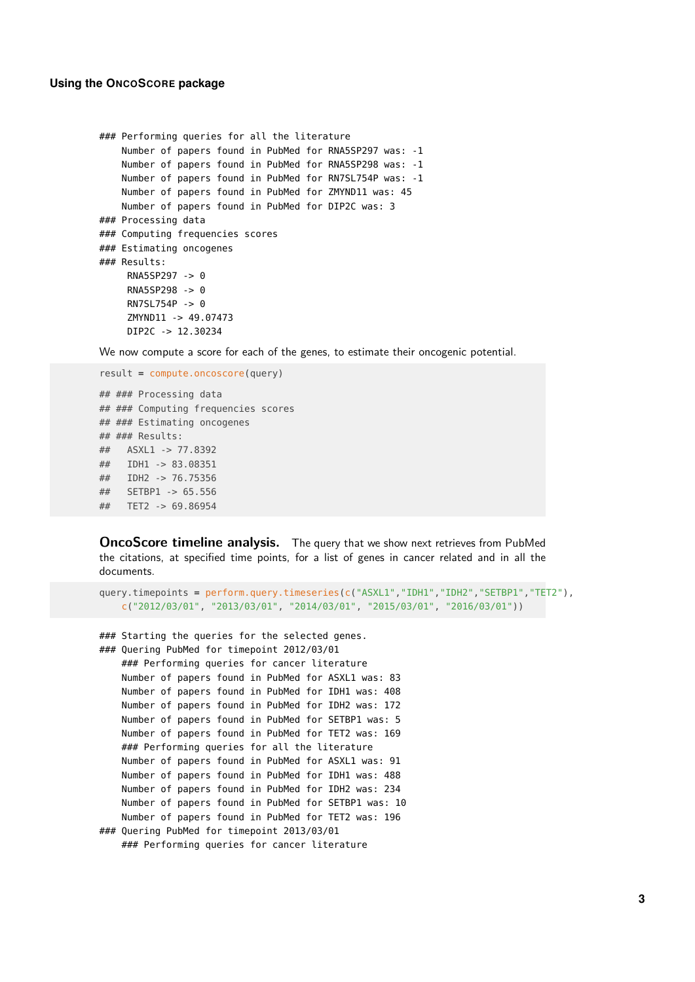```
### Performing queries for all the literature
   Number of papers found in PubMed for RNA5SP297 was: -1
   Number of papers found in PubMed for RNA5SP298 was: -1
   Number of papers found in PubMed for RN7SL754P was: -1
   Number of papers found in PubMed for ZMYND11 was: 45
   Number of papers found in PubMed for DIP2C was: 3
### Processing data
### Computing frequencies scores
### Estimating oncogenes
### Results:
     RNA5SP297 -> 0
     RNA5SP298 -> 0
     RN7SL754P -> 0
     ZMYND11 -> 49.07473
     DIP2C -> 12.30234
```
We now compute a score for each of the genes, to estimate their oncogenic potential.

```
result = compute.oncoscore(query)
## ### Processing data
## ### Computing frequencies scores
## ### Estimating oncogenes
## ### Results:
## ASXL1 -> 77.8392
## IDH1 -> 83.08351
## IDH2 -> 76.75356
## SETBP1 -> 65.556
## TET2 -> 69.86954
```
**OncoScore timeline analysis.** The query that we show next retrieves from PubMed the citations, at specified time points, for a list of genes in cancer related and in all the documents.

```
query.timepoints = perform.query.timeseries(c("ASXL1","IDH1","IDH2","SETBP1","TET2"),
   c("2012/03/01", "2013/03/01", "2014/03/01", "2015/03/01", "2016/03/01"))
```

```
### Starting the queries for the selected genes.
### Quering PubMed for timepoint 2012/03/01
   ### Performing queries for cancer literature
   Number of papers found in PubMed for ASXL1 was: 83
   Number of papers found in PubMed for IDH1 was: 408
   Number of papers found in PubMed for IDH2 was: 172
   Number of papers found in PubMed for SETBP1 was: 5
   Number of papers found in PubMed for TET2 was: 169
   ### Performing queries for all the literature
   Number of papers found in PubMed for ASXL1 was: 91
   Number of papers found in PubMed for IDH1 was: 488
   Number of papers found in PubMed for IDH2 was: 234
   Number of papers found in PubMed for SETBP1 was: 10
   Number of papers found in PubMed for TET2 was: 196
### Quering PubMed for timepoint 2013/03/01
   ### Performing queries for cancer literature
```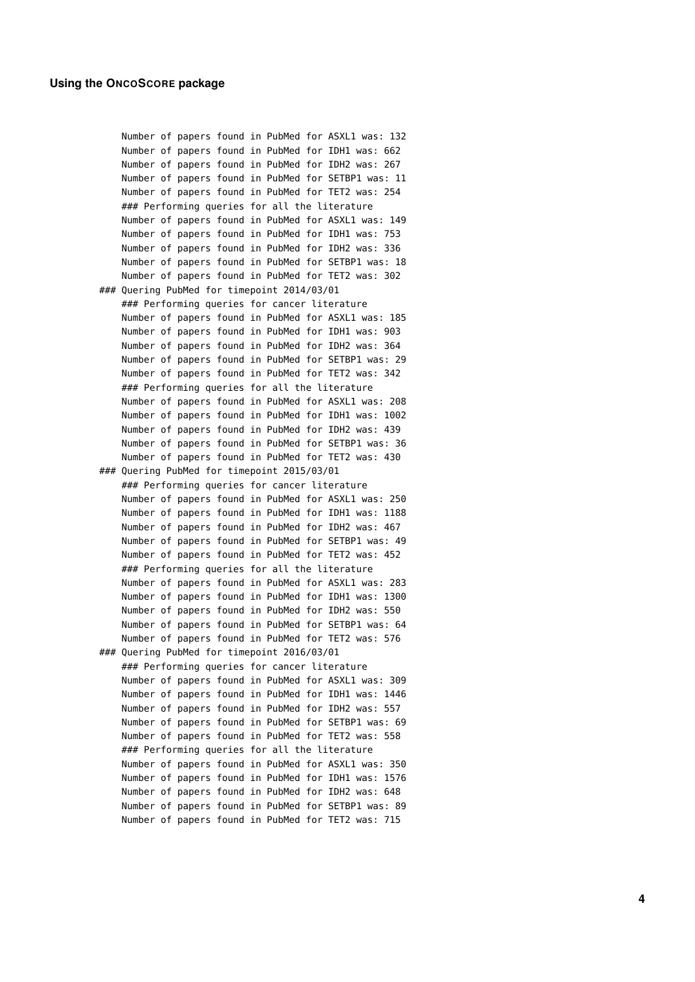```
Number of papers found in PubMed for ASXL1 was: 132
   Number of papers found in PubMed for IDH1 was: 662
   Number of papers found in PubMed for IDH2 was: 267
   Number of papers found in PubMed for SETBP1 was: 11
   Number of papers found in PubMed for TET2 was: 254
   ### Performing queries for all the literature
   Number of papers found in PubMed for ASXL1 was: 149
   Number of papers found in PubMed for IDH1 was: 753
   Number of papers found in PubMed for IDH2 was: 336
   Number of papers found in PubMed for SETBP1 was: 18
   Number of papers found in PubMed for TET2 was: 302
### Quering PubMed for timepoint 2014/03/01
   ### Performing queries for cancer literature
   Number of papers found in PubMed for ASXL1 was: 185
   Number of papers found in PubMed for IDH1 was: 903
   Number of papers found in PubMed for IDH2 was: 364
   Number of papers found in PubMed for SETBP1 was: 29
   Number of papers found in PubMed for TET2 was: 342
   ### Performing queries for all the literature
   Number of papers found in PubMed for ASXL1 was: 208
   Number of papers found in PubMed for IDH1 was: 1002
   Number of papers found in PubMed for IDH2 was: 439
   Number of papers found in PubMed for SETBP1 was: 36
   Number of papers found in PubMed for TET2 was: 430
### Quering PubMed for timepoint 2015/03/01
   ### Performing queries for cancer literature
   Number of papers found in PubMed for ASXL1 was: 250
   Number of papers found in PubMed for IDH1 was: 1188
   Number of papers found in PubMed for IDH2 was: 467
   Number of papers found in PubMed for SETBP1 was: 49
   Number of papers found in PubMed for TET2 was: 452
   ### Performing queries for all the literature
   Number of papers found in PubMed for ASXL1 was: 283
   Number of papers found in PubMed for IDH1 was: 1300
   Number of papers found in PubMed for IDH2 was: 550
   Number of papers found in PubMed for SETBP1 was: 64
   Number of papers found in PubMed for TET2 was: 576
### Quering PubMed for timepoint 2016/03/01
   ### Performing queries for cancer literature
   Number of papers found in PubMed for ASXL1 was: 309
   Number of papers found in PubMed for IDH1 was: 1446
   Number of papers found in PubMed for IDH2 was: 557
   Number of papers found in PubMed for SETBP1 was: 69
   Number of papers found in PubMed for TET2 was: 558
   ### Performing queries for all the literature
   Number of papers found in PubMed for ASXL1 was: 350
   Number of papers found in PubMed for IDH1 was: 1576
   Number of papers found in PubMed for IDH2 was: 648
   Number of papers found in PubMed for SETBP1 was: 89
   Number of papers found in PubMed for TET2 was: 715
```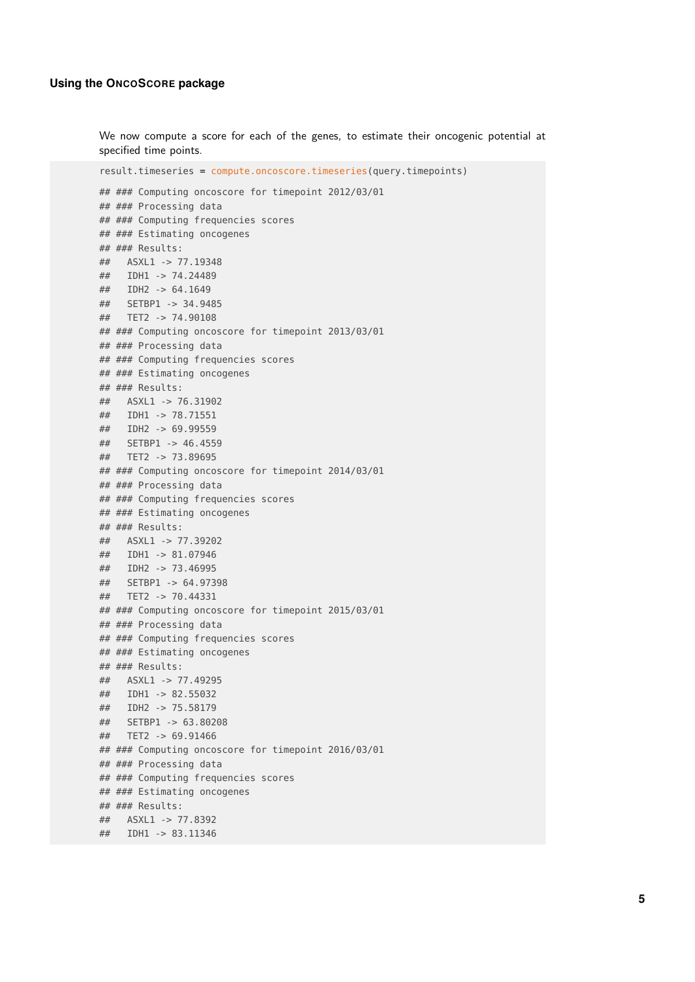We now compute a score for each of the genes, to estimate their oncogenic potential at specified time points.

result.timeseries = compute.oncoscore.timeseries(query.timepoints) ## ### Computing oncoscore for timepoint 2012/03/01 ## ### Processing data ## ### Computing frequencies scores ## ### Estimating oncogenes ## ### Results: ## ASXL1 -> 77.19348 ## IDH1 -> 74.24489 ## IDH2 -> 64.1649 ## SETBP1 -> 34.9485 ## TET2 -> 74.90108 ## ### Computing oncoscore for timepoint 2013/03/01 ## ### Processing data ## ### Computing frequencies scores ## ### Estimating oncogenes ## ### Results: ## ASXL1 -> 76.31902 ## IDH1 -> 78.71551 ## IDH2 -> 69.99559 ## SETBP1 -> 46.4559 ## TET2 -> 73.89695 ## ### Computing oncoscore for timepoint 2014/03/01 ## ### Processing data ## ### Computing frequencies scores ## ### Estimating oncogenes ## ### Results: ## ASXL1 -> 77.39202 ## IDH1 -> 81.07946 ## IDH2 -> 73.46995 ## SETBP1 -> 64.97398 ## TET2 -> 70.44331 ## ### Computing oncoscore for timepoint 2015/03/01 ## ### Processing data ## ### Computing frequencies scores ## ### Estimating oncogenes ## ### Results: ## ASXL1 -> 77.49295 ## IDH1 -> 82.55032 ## IDH2 -> 75.58179 ## SETBP1 -> 63.80208 ## TET2 -> 69.91466 ## ### Computing oncoscore for timepoint 2016/03/01 ## ### Processing data ## ### Computing frequencies scores ## ### Estimating oncogenes ## ### Results: ## ASXL1 -> 77.8392 ## IDH1 -> 83.11346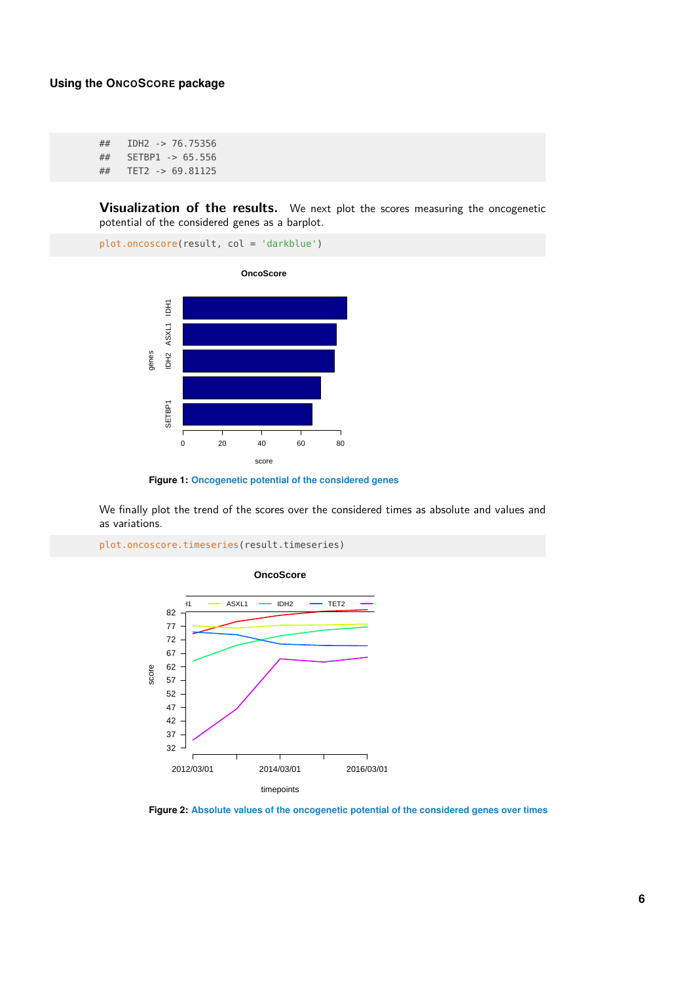## IDH2 -> 76.75356 ## SETBP1 -> 65.556 ## TET2 -> 69.81125

**Visualization of the results.** We next plot the scores measuring the oncogenetic potential of the considered genes as a barplot.

plot.oncoscore(result, col = 'darkblue')



**Figure 1: Oncogenetic potential of the considered genes**

We finally plot the trend of the scores over the considered times as absolute and values and as variations.



plot.oncoscore.timeseries(result.timeseries)

**Figure 2: Absolute values of the oncogenetic potential of the considered genes over times**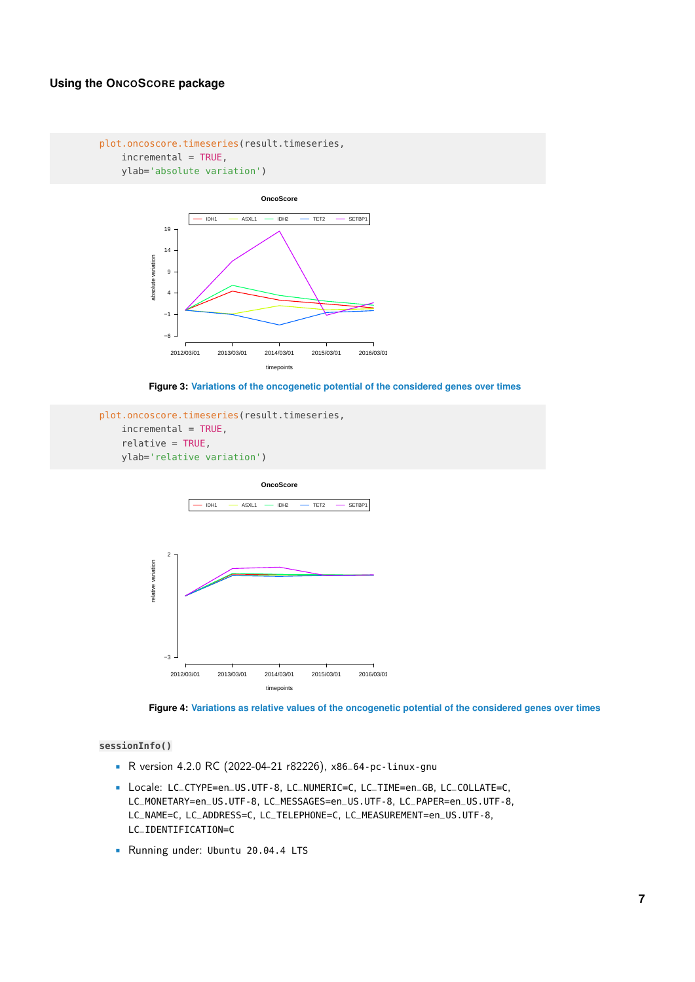#### plot.oncoscore.timeseries(result.timeseries,  $incremental = TRUE,$ ylab='absolute variation')





```
plot.oncoscore.timeseries(result.timeseries,
   incremental = TRUE,relative = TRUE,
   ylab='relative variation')
```
**OncoScore**



**Figure 4: Variations as relative values of the oncogenetic potential of the considered genes over times**

#### **sessionInfo()**

- R version 4.2.0 RC (2022-04-21 r82226), x86\_64-pc-linux-gnu
- Locale: LC\_CTYPE=en\_US.UTF-8, LC\_NUMERIC=C, LC\_TIME=en\_GB, LC\_COLLATE=C, LC\_MONETARY=en\_US.UTF-8, LC\_MESSAGES=en\_US.UTF-8, LC\_PAPER=en\_US.UTF-8, LC\_NAME=C, LC\_ADDRESS=C, LC\_TELEPHONE=C, LC\_MEASUREMENT=en\_US.UTF-8, LC\_IDENTIFICATION=C
- Running under: Ubuntu 20.04.4 LTS